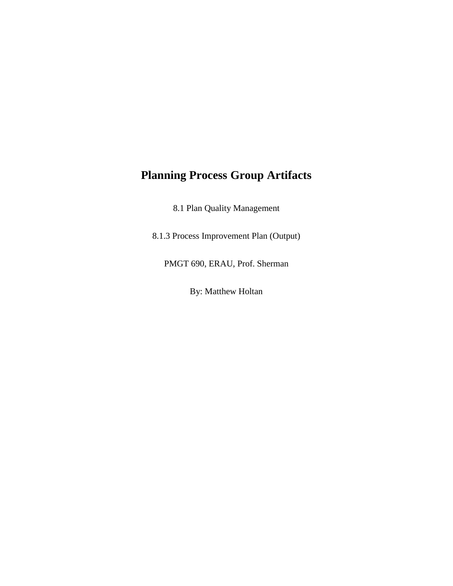## **Planning Process Group Artifacts**

8.1 Plan Quality Management

8.1.3 Process Improvement Plan (Output)

PMGT 690, ERAU, Prof. Sherman

By: Matthew Holtan